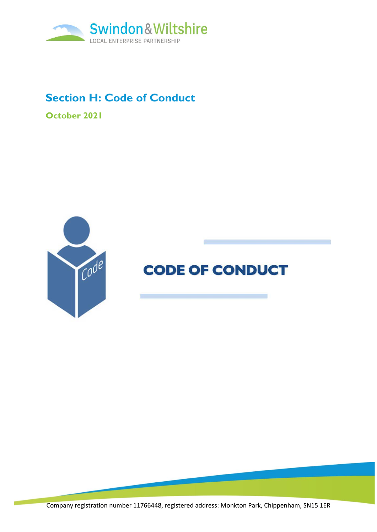

## **Section H: Code of Conduct**

**October 2021**



# **CODE OF CONDUCT**

Company registration number 11766448, registered address: Monkton Park, Chippenham, SN15 1ER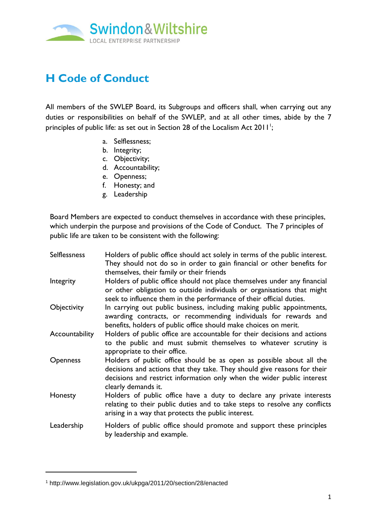

# **H Code of Conduct**

All members of the SWLEP Board, its Subgroups and officers shall, when carrying out any duties or responsibilities on behalf of the SWLEP, and at all other times, abide by the 7 principles of public life: as set out in Section 28 of the Localism Act 2011<sup>1</sup>;

- a. Selflessness;
- b. Integrity;
- c. Objectivity;
- d. Accountability;
- e. Openness;
- f. Honesty; and
- g. Leadership

Board Members are expected to conduct themselves in accordance with these principles, which underpin the purpose and provisions of the Code of Conduct. The 7 principles of public life are taken to be consistent with the following:

| <b>Selflessness</b> | Holders of public office should act solely in terms of the public interest.<br>They should not do so in order to gain financial or other benefits for<br>themselves, their family or their friends                                                |
|---------------------|---------------------------------------------------------------------------------------------------------------------------------------------------------------------------------------------------------------------------------------------------|
| Integrity           | Holders of public office should not place themselves under any financial<br>or other obligation to outside individuals or organisations that might<br>seek to influence them in the performance of their official duties.                         |
| Objectivity         | In carrying out public business, including making public appointments,<br>awarding contracts, or recommending individuals for rewards and<br>benefits, holders of public office should make choices on merit.                                     |
| Accountability      | Holders of public office are accountable for their decisions and actions<br>to the public and must submit themselves to whatever scrutiny is<br>appropriate to their office.                                                                      |
| <b>Openness</b>     | Holders of public office should be as open as possible about all the<br>decisions and actions that they take. They should give reasons for their<br>decisions and restrict information only when the wider public interest<br>clearly demands it. |
| Honesty             | Holders of public office have a duty to declare any private interests<br>relating to their public duties and to take steps to resolve any conflicts<br>arising in a way that protects the public interest.                                        |
| Leadership          | Holders of public office should promote and support these principles<br>by leadership and example.                                                                                                                                                |

<sup>1</sup> http://www.legislation.gov.uk/ukpga/2011/20/section/28/enacted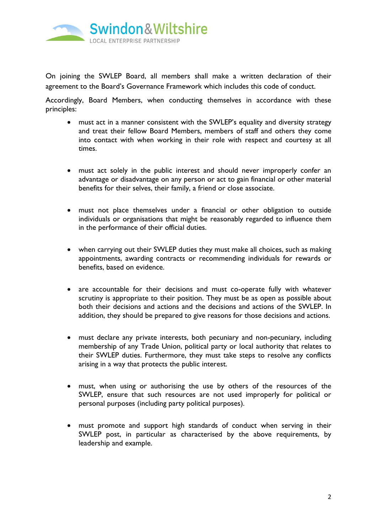

On joining the SWLEP Board, all members shall make a written declaration of their agreement to the Board's Governance Framework which includes this code of conduct.

Accordingly, Board Members, when conducting themselves in accordance with these principles:

- must act in a manner consistent with the SWLEP's equality and diversity strategy and treat their fellow Board Members, members of staff and others they come into contact with when working in their role with respect and courtesy at all times.
- must act solely in the public interest and should never improperly confer an advantage or disadvantage on any person or act to gain financial or other material benefits for their selves, their family, a friend or close associate.
- must not place themselves under a financial or other obligation to outside individuals or organisations that might be reasonably regarded to influence them in the performance of their official duties.
- when carrying out their SWLEP duties they must make all choices, such as making appointments, awarding contracts or recommending individuals for rewards or benefits, based on evidence.
- are accountable for their decisions and must co-operate fully with whatever scrutiny is appropriate to their position. They must be as open as possible about both their decisions and actions and the decisions and actions of the SWLEP. In addition, they should be prepared to give reasons for those decisions and actions.
- must declare any private interests, both pecuniary and non-pecuniary, including membership of any Trade Union, political party or local authority that relates to their SWLEP duties. Furthermore, they must take steps to resolve any conflicts arising in a way that protects the public interest.
- must, when using or authorising the use by others of the resources of the SWLEP, ensure that such resources are not used improperly for political or personal purposes (including party political purposes).
- must promote and support high standards of conduct when serving in their SWLEP post, in particular as characterised by the above requirements, by leadership and example.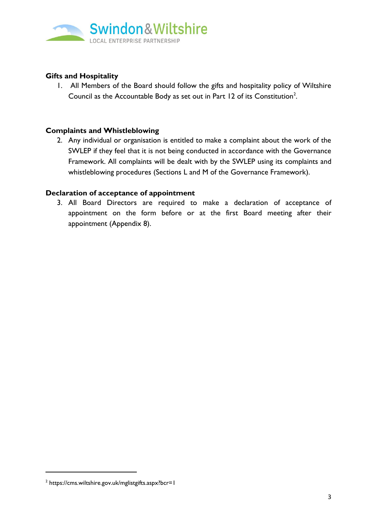

### **Gifts and Hospitality**

1. All Members of the Board should follow the gifts and hospitality policy of Wiltshire Council as the Accountable Body as set out in Part 12 of its Constitution<sup>2</sup>.

#### **Complaints and Whistleblowing**

2. Any individual or organisation is entitled to make a complaint about the work of the SWLEP if they feel that it is not being conducted in accordance with the Governance Framework. All complaints will be dealt with by the SWLEP using its complaints and whistleblowing procedures (Sections L and M of the Governance Framework).

#### **Declaration of acceptance of appointment**

3. All Board Directors are required to make a declaration of acceptance of appointment on the form before or at the first Board meeting after their appointment (Appendix 8).

<sup>&</sup>lt;sup>2</sup> https://cms.wiltshire.gov.uk/mglistgifts.aspx?bcr=1